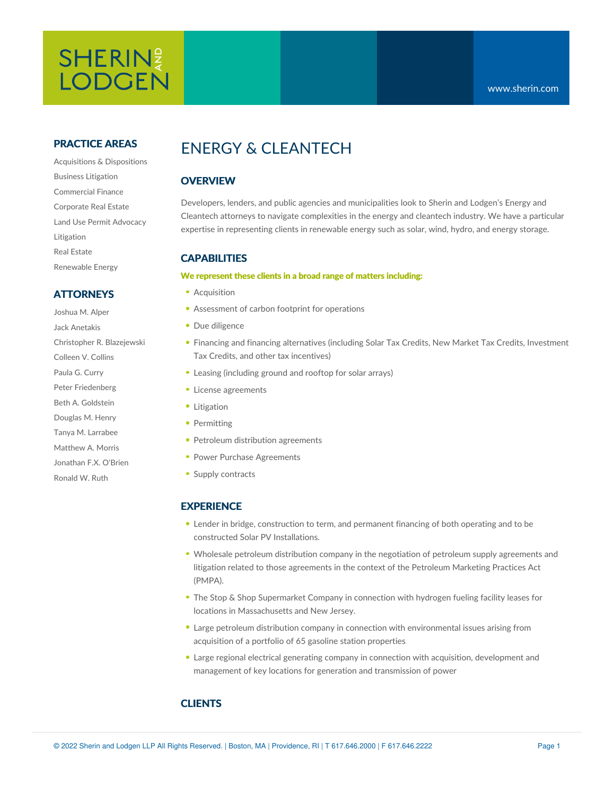# SHERIN? **LODGEN**

#### **PRACTICE AREAS**

Acquisitions & Dispositions Business Litigation Commercial Finance Corporate Real Estate Land Use Permit Advocacy Litigation Real Estate Renewable Energy

### **ATTORNEYS**

Joshua M. Alper Jack Anetakis Christopher R. Blazejewski Colleen V. Collins Paula G. Curry Peter Friedenberg Beth A. Goldstein Douglas M. Henry Tanya M. Larrabee Matthew A. Morris Jonathan F.X. O'Brien Ronald W. Ruth

# ENERGY & CLEANTECH

## **OVERVIEW**

Developers, lenders, and public agencies and municipalities look to Sherin and Lodgen's Energy and Cleantech attorneys to navigate complexities in the energy and cleantech industry. We have a particular expertise in representing clients in [renewable](https://www.sherin.com/practice-areas/solar-energy/) energy such as solar, wind, hydro, and energy storage.

### **CAPABILITIES**

#### **We represent these clients in a broad range of matters including:**

- **Acquisition**
- Assessment of carbon footprint for operations
- Due diligence
- Financing and financing alternatives (including Solar Tax Credits, New Market Tax Credits, Investment Tax Credits, and other tax incentives)
- Leasing (including ground and rooftop for solar arrays)
- **License agreements**
- **Litigation**
- Permitting
- Petroleum distribution agreements
- **Power Purchase Agreements**
- Supply contracts

#### **EXPERIENCE**

- Lender in bridge, construction to term, and permanent financing of both operating and to be constructed Solar PV Installations.
- Wholesale petroleum distribution company in the negotiation of petroleum supply agreements and litigation related to those agreements in the context of the Petroleum Marketing Practices Act (PMPA).
- The Stop & Shop Supermarket Company in connection with hydrogen fueling facility leases for locations in Massachusetts and New Jersey.
- Large petroleum distribution company in connection with environmental issues arising from acquisition of a portfolio of 65 gasoline station properties
- Large regional electrical generating company in connection with acquisition, development and management of key locations for generation and transmission of power

#### **CLIENTS**